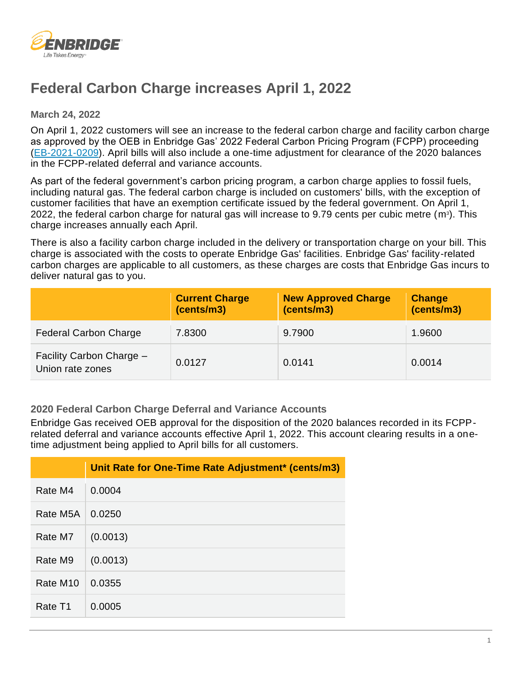

# **Federal Carbon Charge increases April 1, 2022**

**March 24, 2022**

On April 1, 2022 customers will see an increase to the federal carbon charge and facility carbon charge as approved by the OEB in Enbridge Gas' 2022 Federal Carbon Pricing Program (FCPP) proceeding [\(EB-2021-0209\)](https://www.enbridgegas.com/about-enbridge-gas/regulatory). April bills will also include a one-time adjustment for clearance of the 2020 balances in the FCPP-related deferral and variance accounts.

As part of the federal government's carbon pricing program, a carbon charge applies to fossil fuels, including natural gas. The federal carbon charge is included on customers' bills, with the exception of customer facilities that have an exemption certificate issued by the federal government. On April 1, 2022, the federal carbon charge for natural gas will increase to 9.79 cents per cubic metre (m<sup>3</sup>). This charge increases annually each April.

There is also a facility carbon charge included in the delivery or transportation charge on your bill. This charge is associated with the costs to operate Enbridge Gas' facilities. Enbridge Gas' facility-related carbon charges are applicable to all customers, as these charges are costs that Enbridge Gas incurs to deliver natural gas to you.

|                                              | <b>Current Charge</b><br>(cents/m3) | <b>New Approved Charge</b><br>(cents/m3) | <b>Change</b><br>(cents/m3) |
|----------------------------------------------|-------------------------------------|------------------------------------------|-----------------------------|
| <b>Federal Carbon Charge</b>                 | 7.8300                              | 9.7900                                   | 1.9600                      |
| Facility Carbon Charge -<br>Union rate zones | 0.0127                              | 0.0141                                   | 0.0014                      |

**2020 Federal Carbon Charge Deferral and Variance Accounts**

Enbridge Gas received OEB approval for the disposition of the 2020 balances recorded in its FCPPrelated deferral and variance accounts effective April 1, 2022. This account clearing results in a onetime adjustment being applied to April bills for all customers.

|                      | Unit Rate for One-Time Rate Adjustment* (cents/m3) |
|----------------------|----------------------------------------------------|
| Rate M4              | 0.0004                                             |
| Rate M5A             | 0.0250                                             |
| Rate M7              | (0.0013)                                           |
| Rate M9              | (0.0013)                                           |
| Rate M <sub>10</sub> | 0.0355                                             |
| Rate T1              | 0.0005                                             |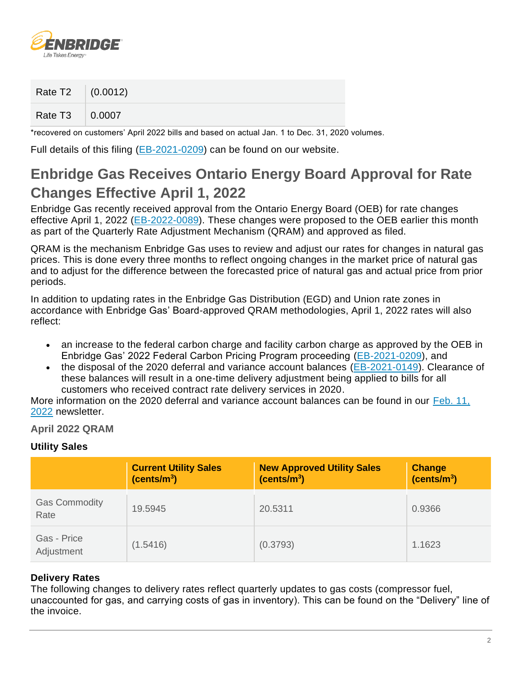

| Rate T2 (0.0012) |  |
|------------------|--|
| Rate T3   0.0007 |  |

\*recovered on customers' April 2022 bills and based on actual Jan. 1 to Dec. 31, 2020 volumes.

Full details of this filing [\(EB-2021-0209\)](https://www.enbridgegas.com/about-enbridge-gas/regulatory) can be found on our website.

# **Enbridge Gas Receives Ontario Energy Board Approval for Rate Changes Effective April 1, 2022**

Enbridge Gas recently received approval from the Ontario Energy Board (OEB) for rate changes effective April 1, 2022 [\(EB-2022-0089\)](https://www.enbridgegas.com/about-enbridge-gas/regulatory). These changes were proposed to the OEB earlier this month as part of the Quarterly Rate Adjustment Mechanism (QRAM) and approved as filed.

QRAM is the mechanism Enbridge Gas uses to review and adjust our rates for changes in natural gas prices. This is done every three months to reflect ongoing changes in the market price of natural gas and to adjust for the difference between the forecasted price of natural gas and actual price from prior periods.

In addition to updating rates in the Enbridge Gas Distribution (EGD) and Union rate zones in accordance with Enbridge Gas' Board-approved QRAM methodologies, April 1, 2022 rates will also reflect:

- an increase to the federal carbon charge and facility carbon charge as approved by the OEB in Enbridge Gas' 2022 Federal Carbon Pricing Program proceeding [\(EB-2021-0209\)](https://www.enbridgegas.com/about-enbridge-gas/regulatory), and
- the disposal of the 2020 deferral and variance account balances [\(EB-2021-0149\)](https://www.enbridgegas.com/about-enbridge-gas/regulatory). Clearance of these balances will result in a one-time delivery adjustment being applied to bills for all customers who received contract rate delivery services in 2020.

More information on the 2020 deferral and variance account balances can be found in our Feb. 11, [2022](https://www.enbridgegas.com/business-industrial/newsletters/large-volume-customers) newsletter.

## **April 2022 QRAM**

## **Utility Sales**

|                              | <b>Current Utility Sales (cents/m<sup>3</sup>)</b> | <b>New Approved Utility Sales</b><br>(cents/m <sup>3</sup> ) | Change<br>(cents/m <sup>3</sup> ) |
|------------------------------|----------------------------------------------------|--------------------------------------------------------------|-----------------------------------|
| <b>Gas Commodity</b><br>Rate | 19.5945                                            | 20.5311                                                      | 0.9366                            |
| Gas - Price<br>Adjustment    | (1.5416)                                           | (0.3793)                                                     | 1.1623                            |

# **Delivery Rates**

The following changes to delivery rates reflect quarterly updates to gas costs (compressor fuel, unaccounted for gas, and carrying costs of gas in inventory). This can be found on the "Delivery" line of the invoice.